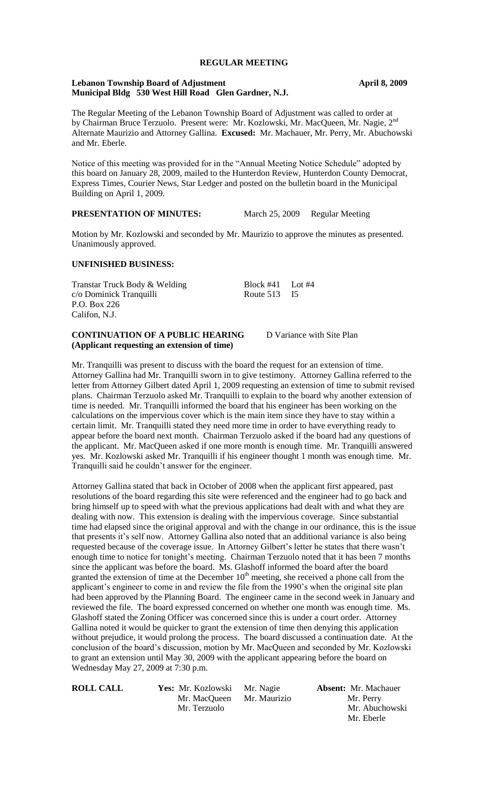# **REGULAR MEETING**

#### **Lebanon Township Board of Adjustment April 8, 2009 Municipal Bldg 530 West Hill Road Glen Gardner, N.J.**

The Regular Meeting of the Lebanon Township Board of Adjustment was called to order at by Chairman Bruce Terzuolo. Present were: Mr. Kozlowski, Mr. MacQueen, Mr. Nagie, 2<sup>nd</sup> Alternate Maurizio and Attorney Gallina. **Excused:** Mr. Machauer, Mr. Perry, Mr. Abuchowski and Mr. Eberle.

Notice of this meeting was provided for in the "Annual Meeting Notice Schedule" adopted by this board on January 28, 2009, mailed to the Hunterdon Review, Hunterdon County Democrat, Express Times, Courier News, Star Ledger and posted on the bulletin board in the Municipal Building on April 1, 2009.

# **PRESENTATION OF MINUTES:** March 25, 2009 Regular Meeting

Motion by Mr. Kozlowski and seconded by Mr. Maurizio to approve the minutes as presented. Unanimously approved.

#### **UNFINISHED BUSINESS:**

Transtar Truck Body & Welding<br>
c/o Dominick Transmilli<br>
Route 513 15 c/o Dominick Tranquilli Route 513 P.O. Box 226 Califon, N.J.

## **CONTINUATION OF A PUBLIC HEARING** D Variance with Site Plan **(Applicant requesting an extension of time)**

Mr. Tranquilli was present to discuss with the board the request for an extension of time. Attorney Gallina had Mr. Tranquilli sworn in to give testimony. Attorney Gallina referred to the letter from Attorney Gilbert dated April 1, 2009 requesting an extension of time to submit revised plans. Chairman Terzuolo asked Mr. Tranquilli to explain to the board why another extension of time is needed. Mr. Tranquilli informed the board that his engineer has been working on the calculations on the impervious cover which is the main item since they have to stay within a certain limit. Mr. Tranquilli stated they need more time in order to have everything ready to appear before the board next month. Chairman Terzuolo asked if the board had any questions of the applicant. Mr. MacQueen asked if one more month is enough time. Mr. Tranquilli answered yes. Mr. Kozlowski asked Mr. Tranquilli if his engineer thought 1 month was enough time. Mr. Tranquilli said he couldn't answer for the engineer.

Attorney Gallina stated that back in October of 2008 when the applicant first appeared, past resolutions of the board regarding this site were referenced and the engineer had to go back and bring himself up to speed with what the previous applications had dealt with and what they are dealing with now. This extension is dealing with the impervious coverage. Since substantial time had elapsed since the original approval and with the change in our ordinance, this is the issue that presents it's self now. Attorney Gallina also noted that an additional variance is also being requested because of the coverage issue. In Attorney Gilbert's letter he states that there wasn't enough time to notice for tonight's meeting. Chairman Terzuolo noted that it has been 7 months since the applicant was before the board. Ms. Glashoff informed the board after the board granted the extension of time at the December  $10<sup>th</sup>$  meeting, she received a phone call from the applicant's engineer to come in and review the file from the 1990's when the original site plan had been approved by the Planning Board. The engineer came in the second week in January and reviewed the file. The board expressed concerned on whether one month was enough time. Ms. Glashoff stated the Zoning Officer was concerned since this is under a court order. Attorney Gallina noted it would be quicker to grant the extension of time then denying this application without prejudice, it would prolong the process. The board discussed a continuation date. At the conclusion of the board's discussion, motion by Mr. MacQueen and seconded by Mr. Kozlowski to grant an extension until May 30, 2009 with the applicant appearing before the board on Wednesday May 27, 2009 at 7:30 p.m.

| <b>ROLL CALL</b> | Yes: Mr. Kozlowski | Mr. Nagie    | <b>Absent:</b> Mr. Machauer |
|------------------|--------------------|--------------|-----------------------------|
|                  | Mr. MacQueen       | Mr. Maurizio | Mr. Perry                   |
|                  | Mr. Terzuolo       |              | Mr. Abuchowski              |
|                  |                    |              | Mr. Eberle                  |